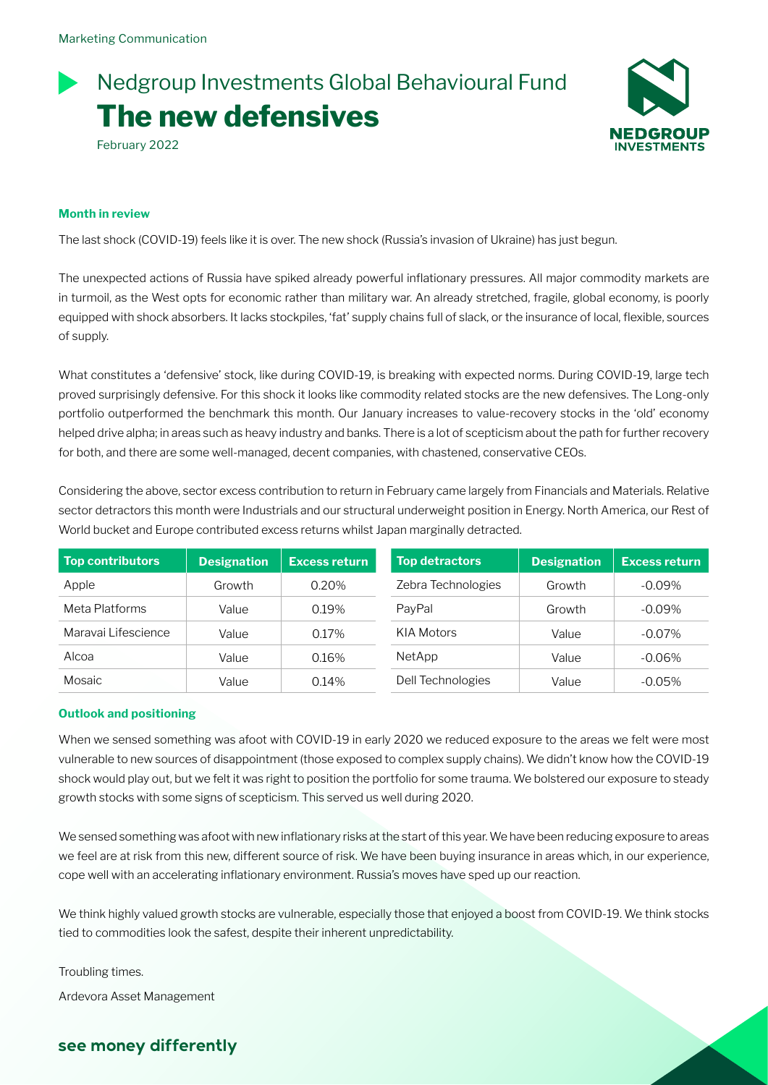# February 2022 Nedgroup Investments Global Behavioural Fund **The new defensives**



### **Month in review**

The last shock (COVID-19) feels like it is over. The new shock (Russia's invasion of Ukraine) has just begun.

The unexpected actions of Russia have spiked already powerful inflationary pressures. All major commodity markets are in turmoil, as the West opts for economic rather than military war. An already stretched, fragile, global economy, is poorly equipped with shock absorbers. It lacks stockpiles, 'fat' supply chains full of slack, or the insurance of local, flexible, sources of supply.

What constitutes a 'defensive' stock, like during COVID-19, is breaking with expected norms. During COVID-19, large tech proved surprisingly defensive. For this shock it looks like commodity related stocks are the new defensives. The Long-only portfolio outperformed the benchmark this month. Our January increases to value-recovery stocks in the 'old' economy helped drive alpha; in areas such as heavy industry and banks. There is a lot of scepticism about the path for further recovery for both, and there are some well-managed, decent companies, with chastened, conservative CEOs.

Considering the above, sector excess contribution to return in February came largely from Financials and Materials. Relative sector detractors this month were Industrials and our structural underweight position in Energy. North America, our Rest of World bucket and Europe contributed excess returns whilst Japan marginally detracted.

| <b>Top contributors</b> | <b>Designation</b> | <b>Excess return</b> | <b>Top detractors</b> | <b>Designation</b> | <b>Excess return</b> |
|-------------------------|--------------------|----------------------|-----------------------|--------------------|----------------------|
| Apple                   | Growth             | $0.20\%$             | Zebra Technologies    | Growth             | $-0.09\%$            |
| Meta Platforms          | Value              | 0.19%                | PavPal                | Growth             | $-0.09\%$            |
| Maravai Lifescience     | Value              | 0.17%                | KIA Motors            | Value              | $-0.07\%$            |
| Alcoa                   | Value              | 0.16%                | NetApp                | Value              | $-0.06\%$            |
| Mosaic                  | Value              | 0.14%                | Dell Technologies     | Value              | $-0.05%$             |

#### **Outlook and positioning**

When we sensed something was afoot with COVID-19 in early 2020 we reduced exposure to the areas we felt were most vulnerable to new sources of disappointment (those exposed to complex supply chains). We didn't know how the COVID-19 shock would play out, but we felt it was right to position the portfolio for some trauma. We bolstered our exposure to steady growth stocks with some signs of scepticism. This served us well during 2020.

We sensed something was afoot with new inflationary risks at the start of this year. We have been reducing exposure to areas we feel are at risk from this new, different source of risk. We have been buying insurance in areas which, in our experience, cope well with an accelerating inflationary environment. Russia's moves have sped up our reaction.

We think highly valued growth stocks are vulnerable, especially those that enjoyed a boost from COVID-19. We think stocks tied to commodities look the safest, despite their inherent unpredictability.

Troubling times.

Ardevora Asset Management

# **see money differently**